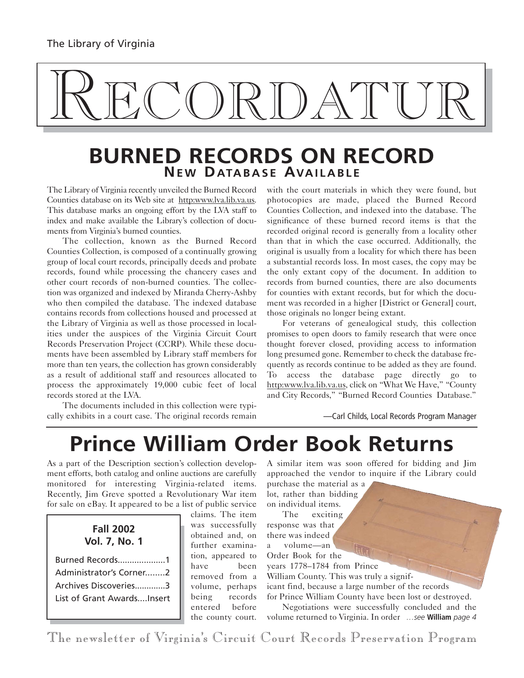# RECORDATUR

## **BURNED RECORDS ON RECORD NE W DATABASE AVAILABLE**

The Library of Virginia recently unveiled the Burned Record Counties database on its Web site at http:www.lva.lib.va.us. This database marks an ongoing effort by the LVA staff to index and make available the Library's collection of documents from Virginia's burned counties.

The collection, known as the Burned Record Counties Collection, is composed of a continually growing group of local court records, principally deeds and probate records, found while processing the chancery cases and other court records of non-burned counties. The collection was organized and indexed by Miranda Cherry-Ashby who then compiled the database. The indexed database contains records from collections housed and processed at the Library of Virginia as well as those processed in localities under the auspices of the Virginia Circuit Court Records Preservation Project (CCRP). While these documents have been assembled by Library staff members for more than ten years, the collection has grown considerably as a result of additional staff and resources allocated to process the approximately 19,000 cubic feet of local records stored at the LVA.

The documents included in this collection were typically exhibits in a court case. The original records remain

with the court materials in which they were found, but photocopies are made, placed the Burned Record Counties Collection, and indexed into the database. The significance of these burned record items is that the recorded original record is generally from a locality other than that in which the case occurred. Additionally, the original is usually from a locality for which there has been a substantial records loss. In most cases, the copy may be the only extant copy of the document. In addition to records from burned counties, there are also documents for counties with extant records, but for which the document was recorded in a higher [District or General] court, those originals no longer being extant.

For veterans of genealogical study, this collection promises to open doors to family research that were once thought forever closed, providing access to information long presumed gone. Remember to check the database frequently as records continue to be added as they are found. To access the database page directly go to http:www.lva.lib.va.us, click on "What We Have," "County and City Records," "Burned Record Counties Database."

—Carl Childs, Local Records Program Manager

## **Prince William Order Book Returns**

As a part of the Description section's collection development efforts, both catalog and online auctions are carefully monitored for interesting Virginia-related items. Recently, Jim Greve spotted a Revolutionary War item for sale on eBay. It appeared to be a list of public service

#### **Fall 2002 Vol. 7, No. 1**

| Burned Records1            |  |
|----------------------------|--|
| Administrator's Corner2    |  |
| Archives Discoveries3      |  |
| List of Grant AwardsInsert |  |

claims. The item was successfully obtained and, on further examination, appeared to have been removed from a volume, perhaps being records entered before the county court.

A similar item was soon offered for bidding and Jim approached the vendor to inquire if the Library could

purchase the material as a lot, rather than bidding on individual items.

The exciting response was that there was indeed a volume—an Order Book for the years 1778–1784 from Prince William County. This was truly a significant find, because a large number of the records for Prince William County have been lost or destroyed.

Negotiations were successfully concluded and the volume returned to Virginia. In order *…see* **William** *page 4*

The newsletter of Virginia's Circuit Court Records Preservation Program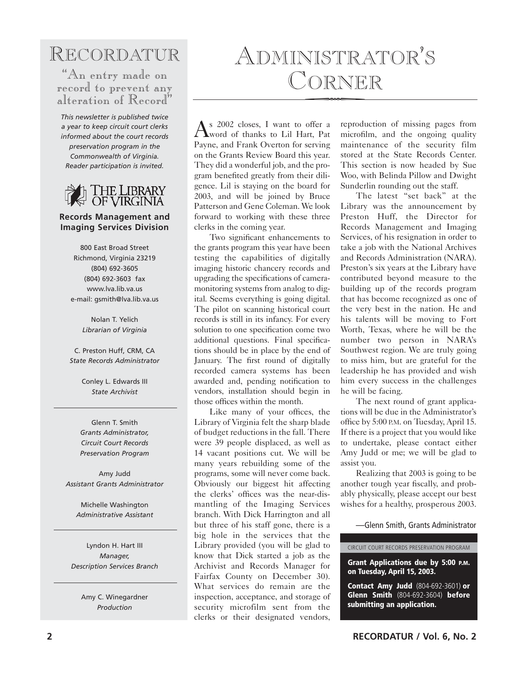RECORDATUR

"An entry made on record to prevent any alteration of Record"

*This newsletter is published twice a year to keep circuit court clerks informed about the court records preservation program in the Commonwealth of Virginia. Reader participation is invited.*



#### **Records Management and Imaging Services Division**

800 East Broad Street Richmond, Virginia 23219 (804) 692-3605 (804) 692-3603 fax www.lva.lib.va.us e-mail: gsmith@lva.lib.va.us

> Nolan T. Yelich *Librarian of Virginia*

C. Preston Huff, CRM, CA *State Records Administrator*

> Conley L. Edwards III *State Archivist*

Glenn T. Smith *Grants Administrator, Circuit Court Records Preservation Program*

Amy Judd *Assistant Grants Administrator*

Michelle Washington *Administrative Assistant*

Lyndon H. Hart III *Manager, Description Services Branch*

> Amy C. Winegardner *Production*

# ADMINISTRATOR'S CORNER

As 2002 closes, I want to offer a word of thanks to Lil Hart, Pat Payne, and Frank Overton for serving on the Grants Review Board this year. They did a wonderful job, and the program benefited greatly from their diligence. Lil is staying on the board for 2003, and will be joined by Bruce Patterson and Gene Coleman. We look forward to working with these three clerks in the coming year.

Two significant enhancements to the grants program this year have been testing the capabilities of digitally imaging historic chancery records and upgrading the specifications of cameramonitoring systems from analog to digital. Seems everything is going digital. The pilot on scanning historical court records is still in its infancy. For every solution to one specification come two additional questions. Final specifications should be in place by the end of January. The first round of digitally recorded camera systems has been awarded and, pending notification to vendors, installation should begin in those offices within the month.

Like many of your offices, the Library of Virginia felt the sharp blade of budget reductions in the fall. There were 39 people displaced, as well as 14 vacant positions cut. We will be many years rebuilding some of the programs, some will never come back. Obviously our biggest hit affecting the clerks' offices was the near-dismantling of the Imaging Services branch. With Dick Harrington and all but three of his staff gone, there is a big hole in the services that the Library provided (you will be glad to know that Dick started a job as the Archivist and Records Manager for Fairfax County on December 30). What services do remain are the inspection, acceptance, and storage of security microfilm sent from the clerks or their designated vendors, reproduction of missing pages from microfilm, and the ongoing quality maintenance of the security film stored at the State Records Center. This section is now headed by Sue Woo, with Belinda Pillow and Dwight Sunderlin rounding out the staff.

The latest "set back" at the Library was the announcement by Preston Huff, the Director for Records Management and Imaging Services, of his resignation in order to take a job with the National Archives and Records Administration (NARA). Preston's six years at the Library have contributed beyond measure to the building up of the records program that has become recognized as one of the very best in the nation. He and his talents will be moving to Fort Worth, Texas, where he will be the number two person in NARA's Southwest region. We are truly going to miss him, but are grateful for the leadership he has provided and wish him every success in the challenges he will be facing.

The next round of grant applications will be due in the Administrator's office by 5:00 P.M. on Tuesday, April 15. If there is a project that you would like to undertake, please contact either Amy Judd or me; we will be glad to assist you.

Realizing that 2003 is going to be another tough year fiscally, and probably physically, please accept our best wishes for a healthy, prosperous 2003.

—Glenn Smith, Grants Administrator

CIRCUIT COURT RECORDS PRESERVATION PROGRAM

**Grant Applications due by 5:00 P.M. on Tuesday, April 15, 2003.**

**Contact Amy Judd** (804-692-3601) **or Glenn Smith** (804-692-3604) **before submitting an application.**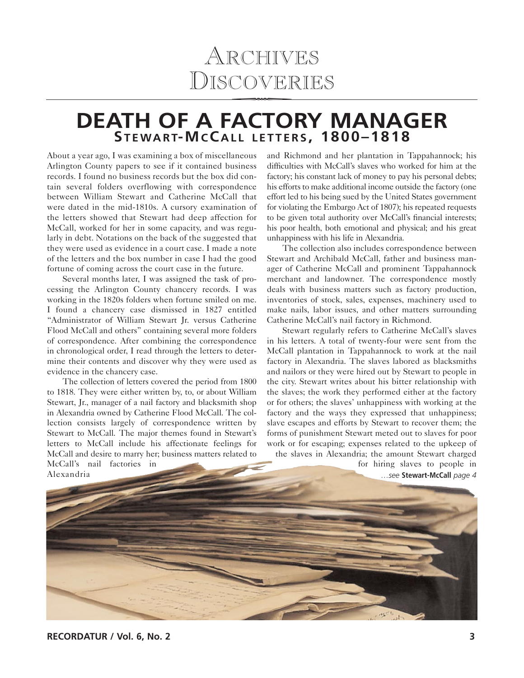# ARCHIVES<br>DISCOVERIE D ISCOVERIES

### **DEATH OF A FACTORY MANAGER STEWART-M C C ALL LETTERS , 1800–1818**

About a year ago, I was examining a box of miscellaneous Arlington County papers to see if it contained business records. I found no business records but the box did contain several folders overflowing with correspondence between William Stewart and Catherine McCall that were dated in the mid-1810s. A cursory examination of the letters showed that Stewart had deep affection for McCall, worked for her in some capacity, and was regularly in debt. Notations on the back of the suggested that they were used as evidence in a court case. I made a note of the letters and the box number in case I had the good fortune of coming across the court case in the future.

Several months later, I was assigned the task of processing the Arlington County chancery records. I was working in the 1820s folders when fortune smiled on me. I found a chancery case dismissed in 1827 entitled "Administrator of William Stewart Jr. versus Catherine Flood McCall and others" containing several more folders of correspondence. After combining the correspondence in chronological order, I read through the letters to determine their contents and discover why they were used as evidence in the chancery case.

The collection of letters covered the period from 1800 to 1818. They were either written by, to, or about William Stewart, Jr., manager of a nail factory and blacksmith shop in Alexandria owned by Catherine Flood McCall. The collection consists largely of correspondence written by Stewart to McCall. The major themes found in Stewart's letters to McCall include his affectionate feelings for McCall and desire to marry her; business matters related to McCall's nail factories in Alexandria

and Richmond and her plantation in Tappahannock; his difficulties with McCall's slaves who worked for him at the factory; his constant lack of money to pay his personal debts; his efforts to make additional income outside the factory (one effort led to his being sued by the United States government for violating the Embargo Act of 1807); his repeated requests to be given total authority over McCall's financial interests; his poor health, both emotional and physical; and his great unhappiness with his life in Alexandria.

The collection also includes correspondence between Stewart and Archibald McCall, father and business manager of Catherine McCall and prominent Tappahannock merchant and landowner. The correspondence mostly deals with business matters such as factory production, inventories of stock, sales, expenses, machinery used to make nails, labor issues, and other matters surrounding Catherine McCall's nail factory in Richmond.

Stewart regularly refers to Catherine McCall's slaves in his letters. A total of twenty-four were sent from the McCall plantation in Tappahannock to work at the nail factory in Alexandria. The slaves labored as blacksmiths and nailors or they were hired out by Stewart to people in the city. Stewart writes about his bitter relationship with the slaves; the work they performed either at the factory or for others; the slaves' unhappiness with working at the factory and the ways they expressed that unhappiness; slave escapes and efforts by Stewart to recover them; the forms of punishment Stewart meted out to slaves for poor work or for escaping; expenses related to the upkeep of the slaves in Alexandria; the amount Stewart charged

for hiring slaves to people in *…see* **Stewart-McCall** *page 4*

**RECORDATUR / Vol. 6, No. 2 3**